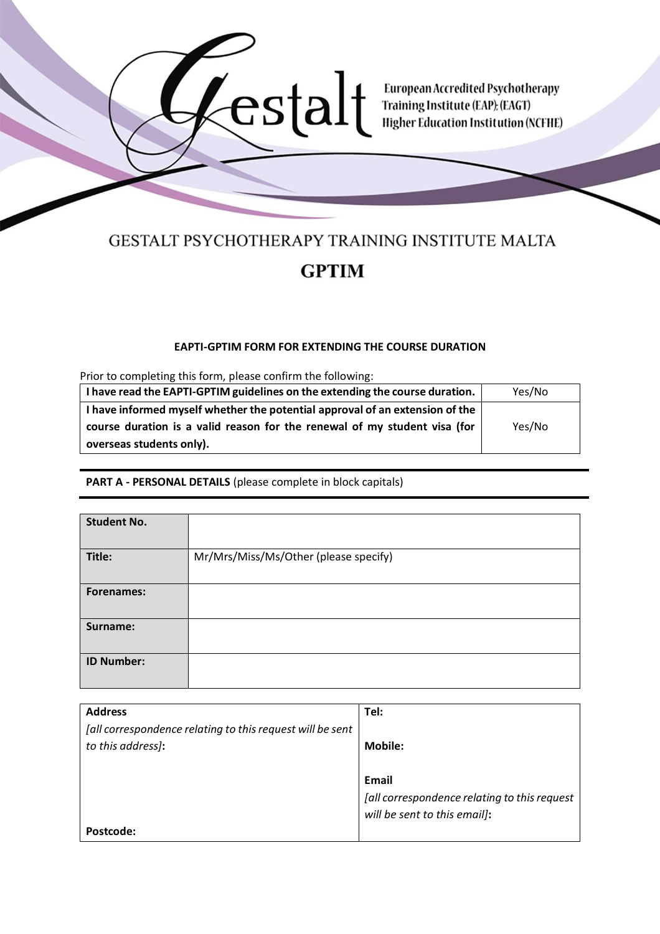

# GESTALT PSYCHOTHERAPY TRAINING INSTITUTE MALTA **GPTIM**

# **EAPTI-GPTIM FORM FOR EXTENDING THE COURSE DURATION**

Prior to completing this form, please confirm the following:

| I have read the EAPTI-GPTIM guidelines on the extending the course duration. | Yes/No |
|------------------------------------------------------------------------------|--------|
| I have informed myself whether the potential approval of an extension of the |        |
| course duration is a valid reason for the renewal of my student visa (for    | Yes/No |
| overseas students only).                                                     |        |

#### **PART A - PERSONAL DETAILS** (please complete in block capitals)

| <b>Student No.</b> |                                       |
|--------------------|---------------------------------------|
| Title:             | Mr/Mrs/Miss/Ms/Other (please specify) |
| <b>Forenames:</b>  |                                       |
| Surname:           |                                       |
| <b>ID Number:</b>  |                                       |

| <b>Address</b>                                            | Tel:                                         |
|-----------------------------------------------------------|----------------------------------------------|
| [all correspondence relating to this request will be sent |                                              |
| to this address):                                         | <b>Mobile:</b>                               |
|                                                           |                                              |
|                                                           | Email                                        |
|                                                           | [all correspondence relating to this request |
|                                                           | will be sent to this email):                 |
| Postcode:                                                 |                                              |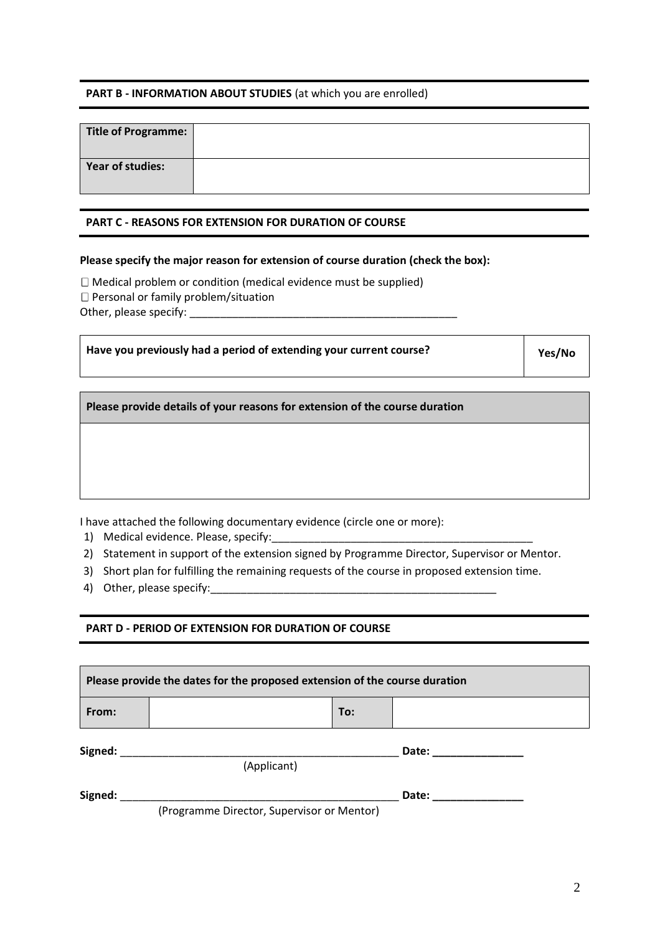# **PART B - INFORMATION ABOUT STUDIES** (at which you are enrolled)

| Title of Programme:     |  |
|-------------------------|--|
| <b>Year of studies:</b> |  |

### **PART C - REASONS FOR EXTENSION FOR DURATION OF COURSE**

# **Please specify the major reason for extension of course duration (check the box):**

 $\Box$  Medical problem or condition (medical evidence must be supplied)

 $\Box$  Personal or family problem/situation

Other, please specify: \_\_\_\_\_\_\_\_\_\_\_\_\_\_\_\_\_\_\_\_\_\_\_\_\_\_\_\_\_\_\_\_\_\_\_\_\_\_\_\_\_\_\_\_

| Have you previously had a period of extending your current course? | Yes/No |
|--------------------------------------------------------------------|--------|
|--------------------------------------------------------------------|--------|

**Please provide details of your reasons for extension of the course duration** 

I have attached the following documentary evidence (circle one or more):

1) Medical evidence. Please, specify:

2) Statement in support of the extension signed by Programme Director, Supervisor or Mentor.

- 3) Short plan for fulfilling the remaining requests of the course in proposed extension time.
- 4) Other, please specify:

# **PART D - PERIOD OF EXTENSION FOR DURATION OF COURSE**

| Please provide the dates for the proposed extension of the course duration |                                            |     |       |
|----------------------------------------------------------------------------|--------------------------------------------|-----|-------|
| From:                                                                      |                                            | To: |       |
| Signed:                                                                    |                                            |     | Date: |
|                                                                            | (Applicant)                                |     |       |
| Signed:                                                                    |                                            |     | Date: |
|                                                                            | (Programme Director, Supervisor or Mentor) |     |       |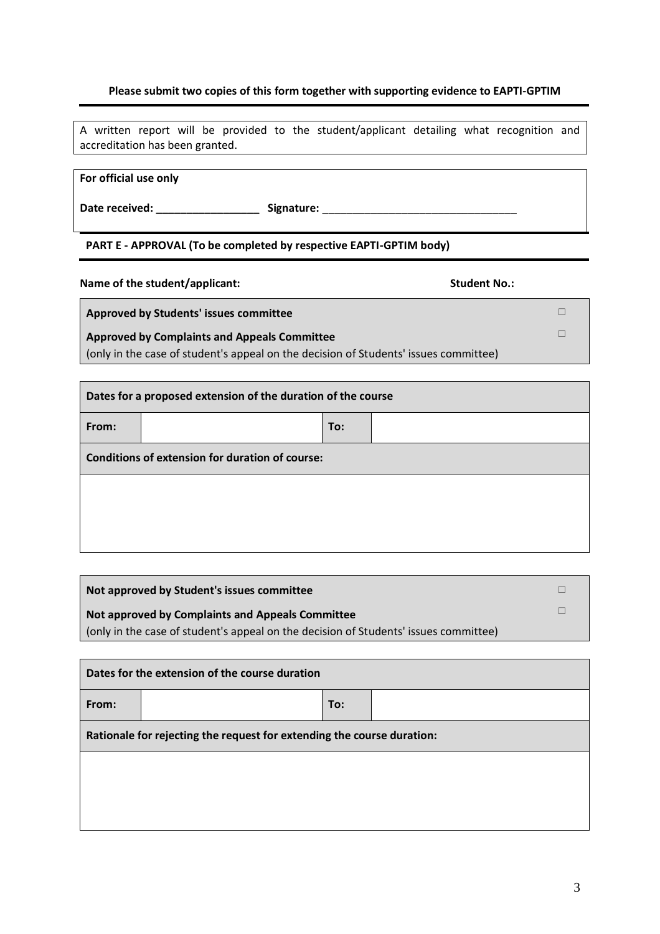# **Please submit two copies of this form together with supporting evidence to EAPTI-GPTIM**

A written report will be provided to the student/applicant detailing what recognition and accreditation has been granted.

#### **For official use only**

Date received: \_\_\_\_\_\_\_\_\_\_\_\_\_\_\_\_\_\_\_\_\_\_ Signature: \_\_\_\_\_\_\_\_\_\_\_\_\_\_\_\_\_\_\_\_\_\_\_\_\_\_\_\_\_\_\_\_

#### **PART E - APPROVAL (To be completed by respective EAPTI-GPTIM body)**

Name of the student/applicant: **Name of the student Applicant:** Student No.:

**Approved by Students' issues committee**

# **Approved by Complaints and Appeals Committee**

(only in the case of student's appeal on the decision of Students' issues committee)

| Dates for a proposed extension of the duration of the course |  |     |  |
|--------------------------------------------------------------|--|-----|--|
| From:                                                        |  | To: |  |
| Conditions of extension for duration of course:              |  |     |  |
|                                                              |  |     |  |
|                                                              |  |     |  |
|                                                              |  |     |  |

| Not approved by Student's issues committee                                           |  |
|--------------------------------------------------------------------------------------|--|
| Not approved by Complaints and Appeals Committee                                     |  |
| (only in the case of student's appeal on the decision of Students' issues committee) |  |

| Dates for the extension of the course duration                         |  |     |  |
|------------------------------------------------------------------------|--|-----|--|
| From:                                                                  |  | To: |  |
| Rationale for rejecting the request for extending the course duration: |  |     |  |
|                                                                        |  |     |  |
|                                                                        |  |     |  |
|                                                                        |  |     |  |

 $\Box$  $\Box$